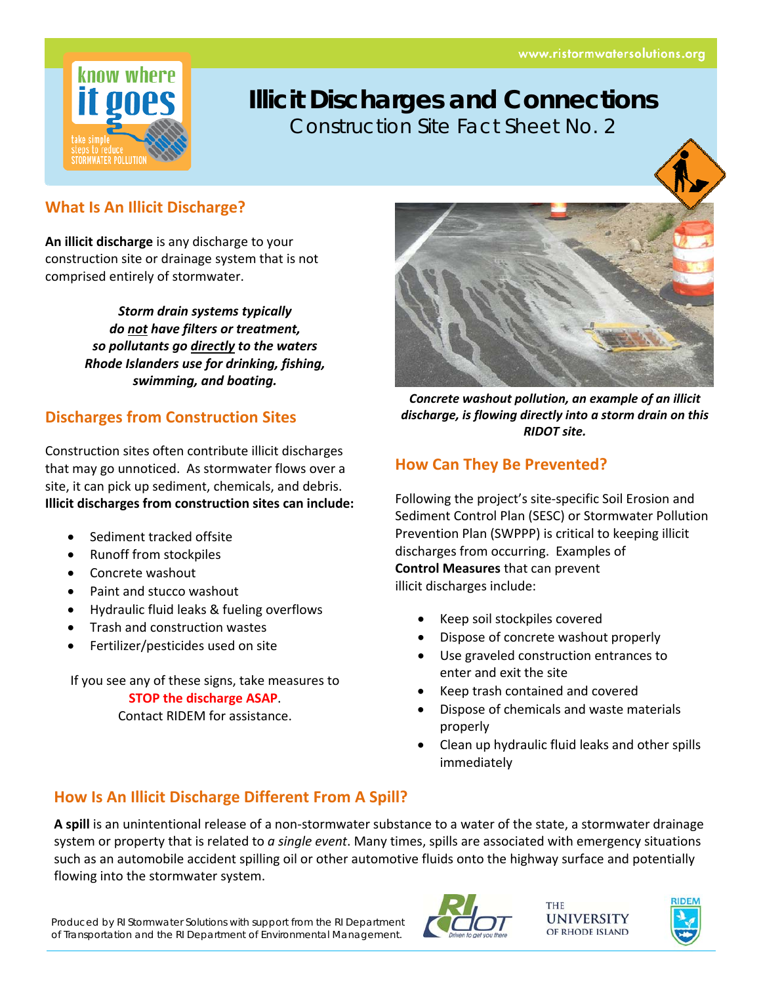

# **Illicit Discharges and Connections** Construction Site Fact Sheet No. 2

### **What Is An Illicit Discharge?**

**An illicit discharge** is any discharge to your construction site or drainage system that is not comprised entirely of stormwater.

> *Storm drain systems typically do not have filters or treatment, so pollutants go directly to the waters Rhode Islanders use for drinking, fishing, swimming, and boating.*

### **Discharges from Construction Sites**

Construction sites often contribute illicit discharges that may go unnoticed. As stormwater flows over a site, it can pick up sediment, chemicals, and debris. **Illicit discharges from construction sites can include:**

- Sediment tracked offsite
- Runoff from stockpiles
- Concrete washout
- Paint and stucco washout
- Hydraulic fluid leaks & fueling overflows
- Trash and construction wastes
- Fertilizer/pesticides used on site

If you see any of these signs, take measures to **STOP the discharge ASAP**.

Contact RIDEM for assistance.



*Concrete washout pollution, an example of an illicit discharge, is flowing directly into a storm drain on this RIDOT site.*

### **How Can They Be Prevented?**

Following the project's site‐specific Soil Erosion and Sediment Control Plan (SESC) or Stormwater Pollution Prevention Plan (SWPPP) is critical to keeping illicit discharges from occurring. Examples of **Control Measures** that can prevent illicit discharges include:

- Keep soil stockpiles covered
- Dispose of concrete washout properly
- Use graveled construction entrances to enter and exit the site
- Keep trash contained and covered
- Dispose of chemicals and waste materials properly
- Clean up hydraulic fluid leaks and other spills immediately

## **How Is An Illicit Discharge Different From A Spill?**

**A spill** is an unintentional release of a non‐stormwater substance to a water of the state, a stormwater drainage system or property that is related to *a single event*. Many times, spills are associated with emergency situations such as an automobile accident spilling oil or other automotive fluids onto the highway surface and potentially flowing into the stormwater system.

Produced by RI Stormwater Solutions with support from the RI Department of Transportation and the RI Department of Environmental Management.